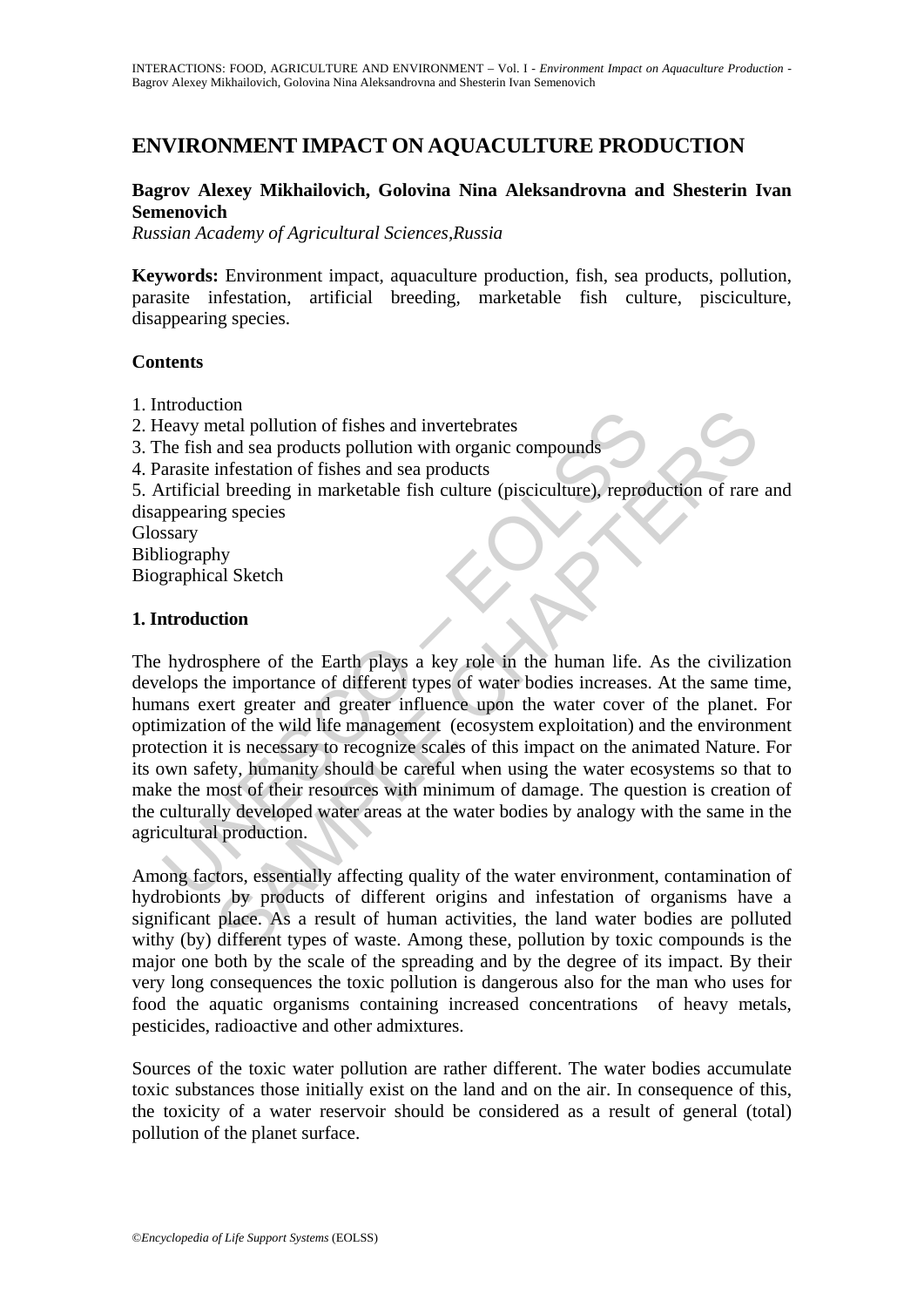# **ENVIRONMENT IMPACT ON AQUACULTURE PRODUCTION**

## **Bagrov Alexey Mikhailovich, Golovina Nina Aleksandrovna and Shesterin Ivan Semenovich**

*Russian Academy of Agricultural Sciences,Russia* 

**Keywords:** Environment impact, aquaculture production, fish, sea products, pollution, parasite infestation, artificial breeding, marketable fish culture, pisciculture, disappearing species.

### **Contents**

- 1. Introduction
- 2. Heavy metal pollution of fishes and invertebrates
- 3. The fish and sea products pollution with organic compounds
- 4. Parasite infestation of fishes and sea products

5. Artificial breeding in marketable fish culture (pisciculture), reproduction of rare and disappearing species

Glossary

Bibliography

Biographical Sketch

### **1. Introduction**

Howardon<br>Heavy metal pollution of fishes and invertebrates<br>the fish and sea products pollution with organic compounds<br>arasite infestation of fishes and sea products<br>arrificial breeding in marketable fish culture (piscicult non<br>
and pollution of fishes and invertebrates<br>
and sea products pollution with organic compounds<br>
infestation of fishes and sea products<br>
infestation of fishes and sea products<br>
infestation of fishes and sea products<br>
and The hydrosphere of the Earth plays a key role in the human life. As the civilization develops the importance of different types of water bodies increases. At the same time, humans exert greater and greater influence upon the water cover of the planet. For optimization of the wild life management (ecosystem exploitation) and the environment protection it is necessary to recognize scales of this impact on the animated Nature. For its own safety, humanity should be careful when using the water ecosystems so that to make the most of their resources with minimum of damage. The question is creation of the culturally developed water areas at the water bodies by analogy with the same in the agricultural production.

Among factors, essentially affecting quality of the water environment, contamination of hydrobionts by products of different origins and infestation of organisms have a significant place. As a result of human activities, the land water bodies are polluted withy (by) different types of waste. Among these, pollution by toxic compounds is the major one both by the scale of the spreading and by the degree of its impact. By their very long consequences the toxic pollution is dangerous also for the man who uses for food the aquatic organisms containing increased concentrations of heavy metals, pesticides, radioactive and other admixtures.

Sources of the toxic water pollution are rather different. The water bodies accumulate toxic substances those initially exist on the land and on the air. In consequence of this, the toxicity of a water reservoir should be considered as a result of general (total) pollution of the planet surface.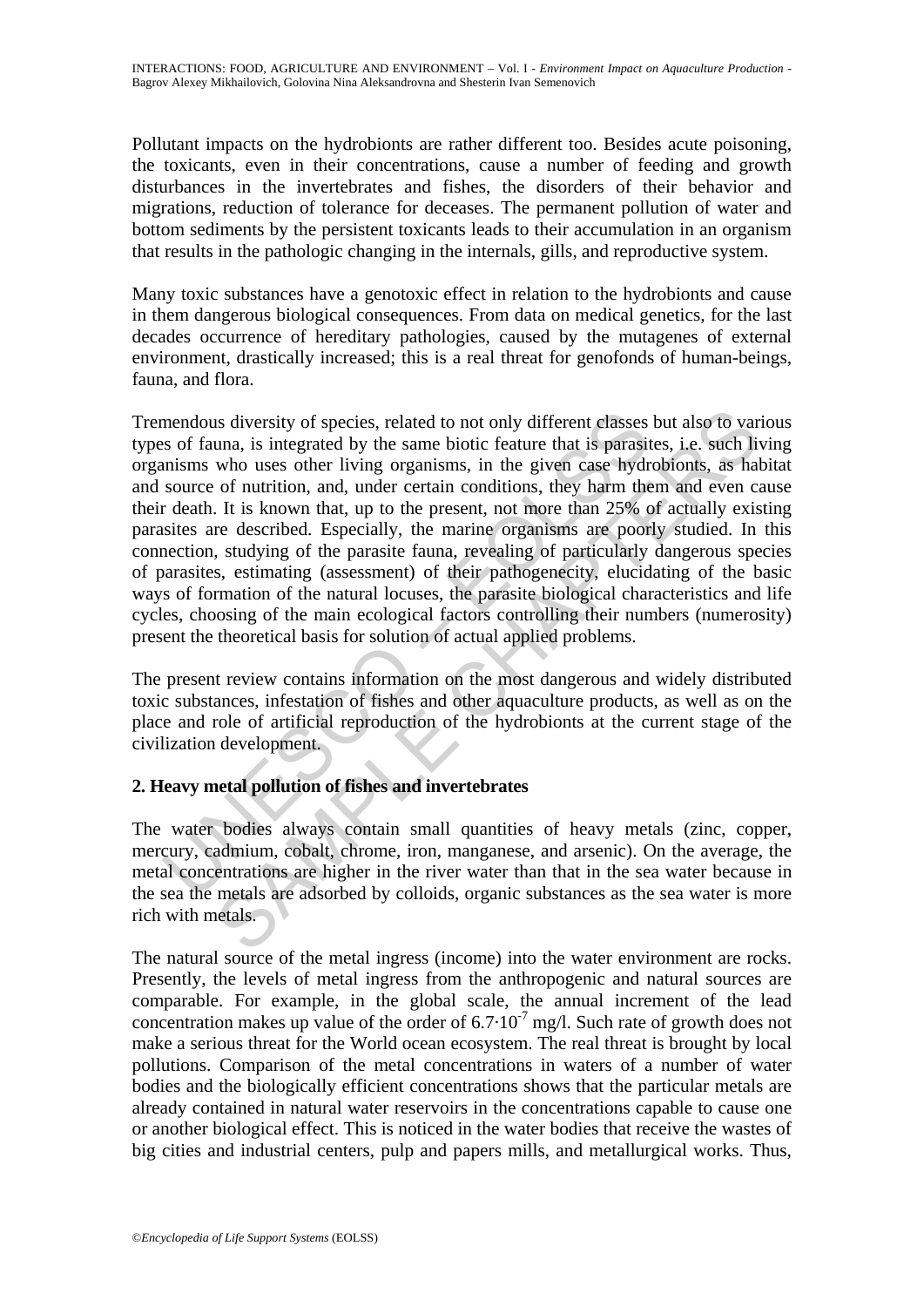Pollutant impacts on the hydrobionts are rather different too. Besides acute poisoning, the toxicants, even in their concentrations, cause a number of feeding and growth disturbances in the invertebrates and fishes, the disorders of their behavior and migrations, reduction of tolerance for deceases. The permanent pollution of water and bottom sediments by the persistent toxicants leads to their accumulation in an organism that results in the pathologic changing in the internals, gills, and reproductive system.

Many toxic substances have a genotoxic effect in relation to the hydrobionts and cause in them dangerous biological consequences. From data on medical genetics, for the last decades occurrence of hereditary pathologies, caused by the mutagenes of external environment, drastically increased; this is a real threat for genofonds of human-beings, fauna, and flora.

mendous diversity of species, related to not only different classes<br>so of fauna, is integrated by the same biotic feature that is parasitinisms who uses other living organisms, in the given case hydr<br>source of nutrition, a is diversity of species, related to not only different classes but also to var<br>una, is integrated by the same biotic feature that is parasites, i.e. such li<br>who uses other living organisms, in the given case hydrobionts, a Tremendous diversity of species, related to not only different classes but also to various types of fauna, is integrated by the same biotic feature that is parasites, i.e. such living organisms who uses other living organisms, in the given case hydrobionts, as habitat and source of nutrition, and, under certain conditions, they harm them and even cause their death. It is known that, up to the present, not more than 25% of actually existing parasites are described. Especially, the marine organisms are poorly studied. In this connection, studying of the parasite fauna, revealing of particularly dangerous species of parasites, estimating (assessment) of their pathogenecity, elucidating of the basic ways of formation of the natural locuses, the parasite biological characteristics and life cycles, choosing of the main ecological factors controlling their numbers (numerosity) present the theoretical basis for solution of actual applied problems.

The present review contains information on the most dangerous and widely distributed toxic substances, infestation of fishes and other aquaculture products, as well as on the place and role of artificial reproduction of the hydrobionts at the current stage of the civilization development.

## **2. Heavy metal pollution of fishes and invertebrates**

The water bodies always contain small quantities of heavy metals (zinc, copper, mercury, cadmium, cobalt, chrome, iron, manganese, and arsenic). On the average, the metal concentrations are higher in the river water than that in the sea water because in the sea the metals are adsorbed by colloids, organic substances as the sea water is more rich with metals.

The natural source of the metal ingress (income) into the water environment are rocks. Presently, the levels of metal ingress from the anthropogenic and natural sources are comparable. For example, in the global scale, the annual increment of the lead concentration makes up value of the order of  $6.7 \cdot 10^{-7}$  mg/l. Such rate of growth does not make a serious threat for the World ocean ecosystem. The real threat is brought by local pollutions. Comparison of the metal concentrations in waters of a number of water bodies and the biologically efficient concentrations shows that the particular metals are already contained in natural water reservoirs in the concentrations capable to cause one or another biological effect. This is noticed in the water bodies that receive the wastes of big cities and industrial centers, pulp and papers mills, and metallurgical works. Thus,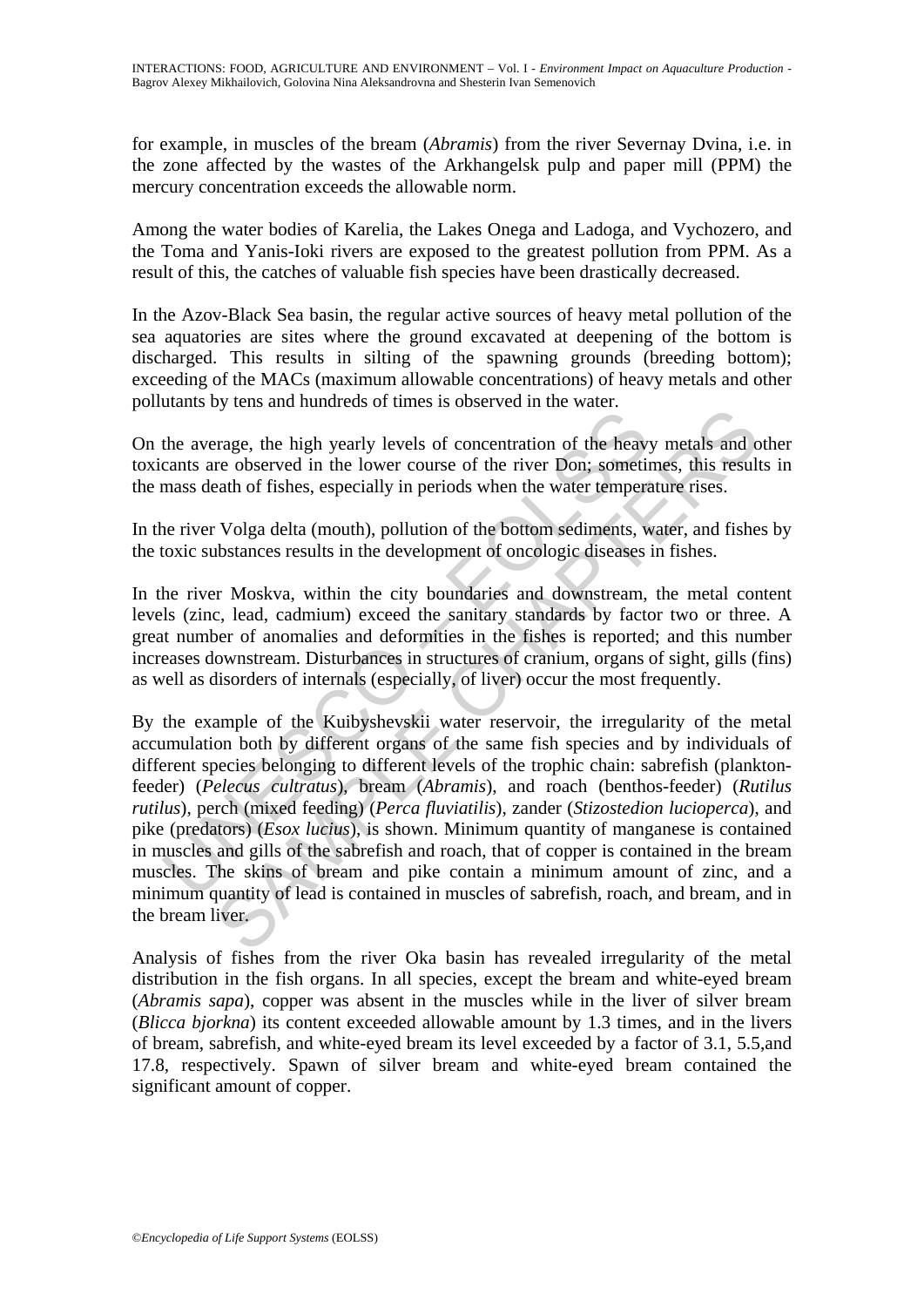for example, in muscles of the bream (*Abramis*) from the river Severnay Dvina, i.e. in the zone affected by the wastes of the Arkhangelsk pulp and paper mill (PPM) the mercury concentration exceeds the allowable norm.

Among the water bodies of Karelia, the Lakes Onega and Ladoga, and Vychozero, and the Toma and Yanis-Ioki rivers are exposed to the greatest pollution from PPM. As a result of this, the catches of valuable fish species have been drastically decreased.

In the Azov-Black Sea basin, the regular active sources of heavy metal pollution of the sea aquatories are sites where the ground excavated at deepening of the bottom is discharged. This results in silting of the spawning grounds (breeding bottom); exceeding of the MACs (maximum allowable concentrations) of heavy metals and other pollutants by tens and hundreds of times is observed in the water.

On the average, the high yearly levels of concentration of the heavy metals and other toxicants are observed in the lower course of the river Don; sometimes, this results in the mass death of fishes, especially in periods when the water temperature rises.

In the river Volga delta (mouth), pollution of the bottom sediments, water, and fishes by the toxic substances results in the development of oncologic diseases in fishes.

In the river Moskva, within the city boundaries and downstream, the metal content levels (zinc, lead, cadmium) exceed the sanitary standards by factor two or three. A great number of anomalies and deformities in the fishes is reported; and this number increases downstream. Disturbances in structures of cranium, organs of sight, gills (fins) as well as disorders of internals (especially, of liver) occur the most frequently.

the average, the high yearly levels of concentration of the heaver<br>cants are observed in the lower course of the river Don; sometimass death of fishes, especially in periods when the water tempere<br>ne river Volga delta (mou by calculate states of a mass of societies in the water.<br>
Frage, the high yearly levels of concentration of the heavy metals and c<br>
re observed in the lower course of the river Don; sometimes, this result<br>
each of fishes, By the example of the Kuibyshevskii water reservoir, the irregularity of the metal accumulation both by different organs of the same fish species and by individuals of different species belonging to different levels of the trophic chain: sabrefish (planktonfeeder) (*Pelecus cultratus*), bream (*Abramis*), and roach (benthos-feeder) (*Rutilus rutilus*), perch (mixed feeding) (*Perca fluviatilis*), zander (*Stizostedion lucioperca*), and pike (predators) (*Esox lucius*), is shown. Minimum quantity of manganese is contained in muscles and gills of the sabrefish and roach, that of copper is contained in the bream muscles. The skins of bream and pike contain a minimum amount of zinc, and a minimum quantity of lead is contained in muscles of sabrefish, roach, and bream, and in the bream liver.

Analysis of fishes from the river Oka basin has revealed irregularity of the metal distribution in the fish organs. In all species, except the bream and white-eyed bream (*Abramis sapa*), copper was absent in the muscles while in the liver of silver bream (*Blicca bjorkna*) its content exceeded allowable amount by 1.3 times, and in the livers of bream, sabrefish, and white-eyed bream its level exceeded by a factor of 3.1, 5.5,and 17.8, respectively. Spawn of silver bream and white-eyed bream contained the significant amount of copper.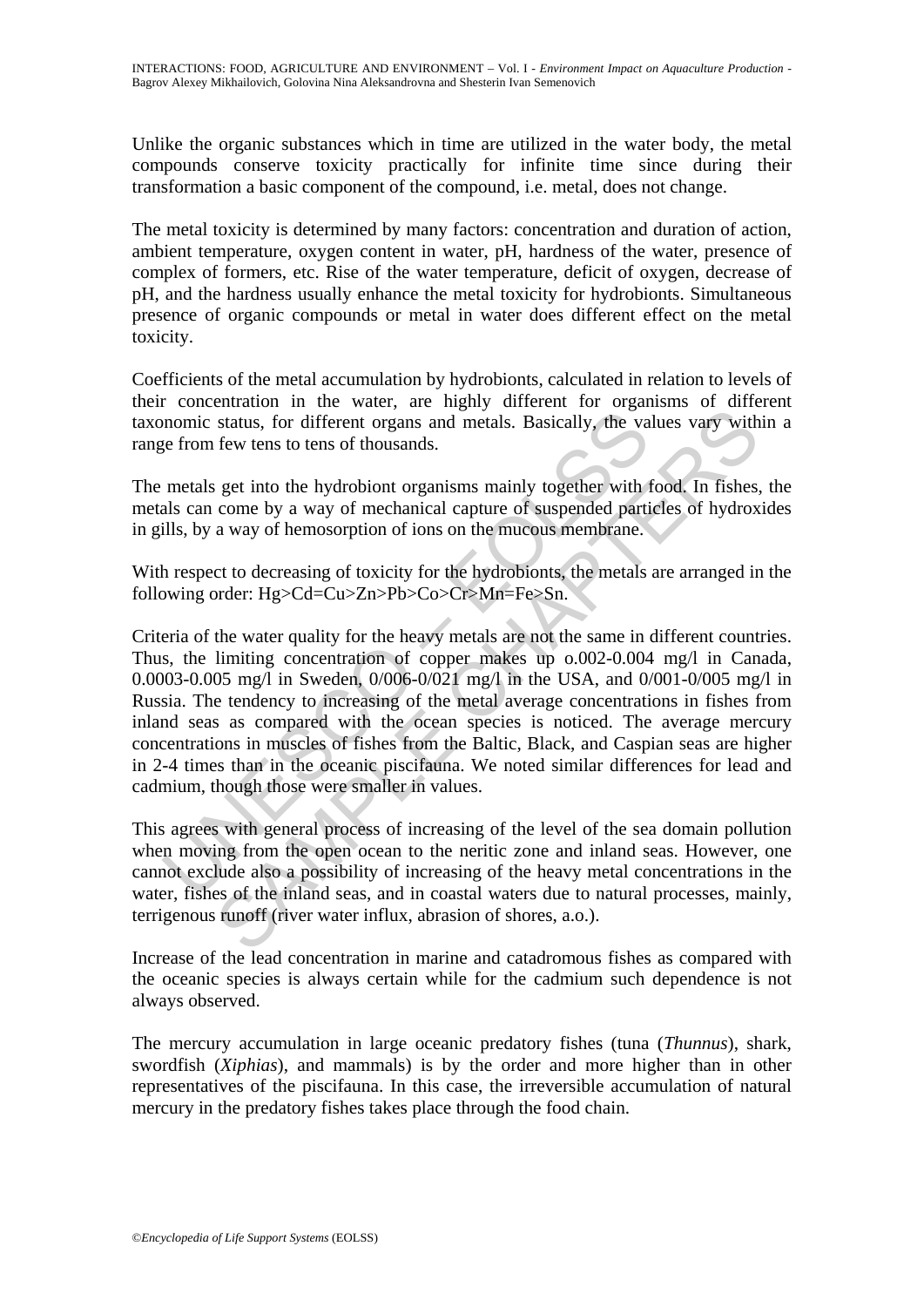Unlike the organic substances which in time are utilized in the water body, the metal compounds conserve toxicity practically for infinite time since during their transformation a basic component of the compound, i.e. metal, does not change.

The metal toxicity is determined by many factors: concentration and duration of action, ambient temperature, oxygen content in water, pH, hardness of the water, presence of complex of formers, etc. Rise of the water temperature, deficit of oxygen, decrease of pH, and the hardness usually enhance the metal toxicity for hydrobionts. Simultaneous presence of organic compounds or metal in water does different effect on the metal toxicity.

Coefficients of the metal accumulation by hydrobionts, calculated in relation to levels of their concentration in the water, are highly different for organisms of different taxonomic status, for different organs and metals. Basically, the values vary within a range from few tens to tens of thousands.

The metals get into the hydrobiont organisms mainly together with food. In fishes, the metals can come by a way of mechanical capture of suspended particles of hydroxides in gills, by a way of hemosorption of ions on the mucous membrane.

With respect to decreasing of toxicity for the hydrobionts, the metals are arranged in the following order: Hg>Cd=Cu>Zn>Pb>Co>Cr>Mn=Fe>Sn.

momic status, for different organs and metals. Basically, the va<br>ge from few tens to tens of thousands.<br>metals get into the hydrobiont organisms mainly together with alls<br>an come by a way of mechanical capture of suspended status, for different organs and metals. Basically, the values vary with<br>status, for different organs and metals. Basically, the values vary with<br>few tens to tens of thousands.<br>Set into the hydrobiont organisms mainly tog Criteria of the water quality for the heavy metals are not the same in different countries. Thus, the limiting concentration of copper makes up o.002-0.004 mg/l in Canada, 0.0003-0.005 mg/l in Sweden, 0/006-0/021 mg/l in the USA, and 0/001-0/005 mg/l in Russia. The tendency to increasing of the metal average concentrations in fishes from inland seas as compared with the ocean species is noticed. The average mercury concentrations in muscles of fishes from the Baltic, Black, and Caspian seas are higher in 2-4 times than in the oceanic piscifauna. We noted similar differences for lead and cadmium, though those were smaller in values.

This agrees with general process of increasing of the level of the sea domain pollution when moving from the open ocean to the neritic zone and inland seas. However, one cannot exclude also a possibility of increasing of the heavy metal concentrations in the water, fishes of the inland seas, and in coastal waters due to natural processes, mainly, terrigenous runoff (river water influx, abrasion of shores, a.o.).

Increase of the lead concentration in marine and catadromous fishes as compared with the oceanic species is always certain while for the cadmium such dependence is not always observed.

The mercury accumulation in large oceanic predatory fishes (tuna (*Thunnus*), shark, swordfish (*Xiphias*), and mammals) is by the order and more higher than in other representatives of the piscifauna. In this case, the irreversible accumulation of natural mercury in the predatory fishes takes place through the food chain.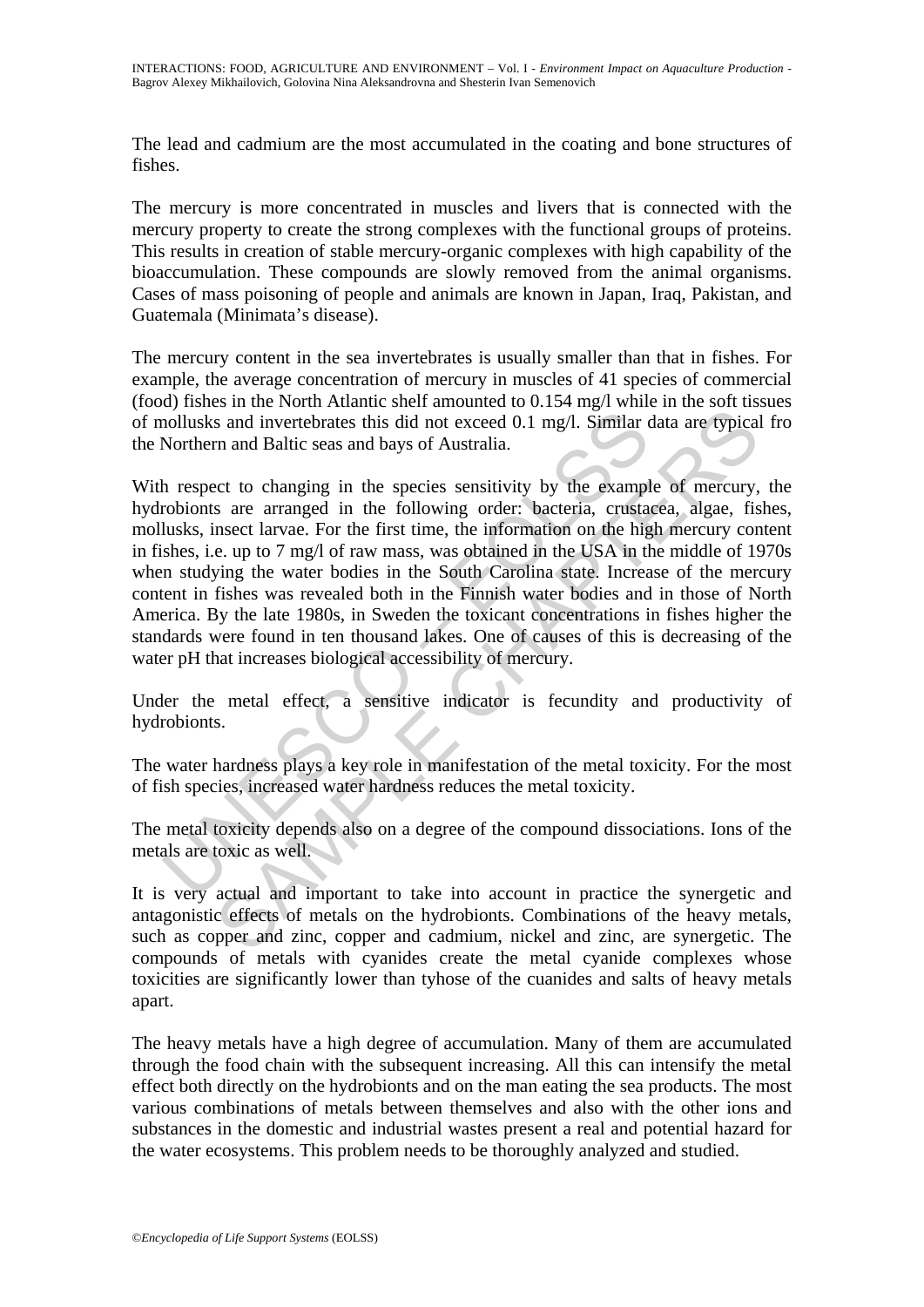The lead and cadmium are the most accumulated in the coating and bone structures of fishes.

The mercury is more concentrated in muscles and livers that is connected with the mercury property to create the strong complexes with the functional groups of proteins. This results in creation of stable mercury-organic complexes with high capability of the bioaccumulation. These compounds are slowly removed from the animal organisms. Cases of mass poisoning of people and animals are known in Japan, Iraq, Pakistan, and Guatemala (Minimata's disease).

The mercury content in the sea invertebrates is usually smaller than that in fishes. For example, the average concentration of mercury in muscles of 41 species of commercial (food) fishes in the North Atlantic shelf amounted to 0.154 mg/l while in the soft tissues of mollusks and invertebrates this did not exceed 0.1 mg/l. Similar data are typical fro the Northern and Baltic seas and bays of Australia.

nollusks and invertebrates this did not exceed 0.1 mg/l. Similar Northern and Baltic seas and bays of Australia.<br>
Northern and Baltic seas and bays of Australia.<br>
In respect to changing in the species sensitivity by the ex is and invertebrates this did not exceed 0.1 mg/l. Similar data are typical<br>in and Baltic seas and bays of Australia.<br>The mand Baltic seas and bays of Australia.<br>ect to changing in the species sensitivity by the example of With respect to changing in the species sensitivity by the example of mercury, the hydrobionts are arranged in the following order: bacteria, crustacea, algae, fishes, mollusks, insect larvae. For the first time, the information on the high mercury content in fishes, i.e. up to 7 mg/l of raw mass, was obtained in the USA in the middle of 1970s when studying the water bodies in the South Carolina state. Increase of the mercury content in fishes was revealed both in the Finnish water bodies and in those of North America. By the late 1980s, in Sweden the toxicant concentrations in fishes higher the standards were found in ten thousand lakes. One of causes of this is decreasing of the water pH that increases biological accessibility of mercury.

Under the metal effect, a sensitive indicator is fecundity and productivity of hydrobionts.

The water hardness plays a key role in manifestation of the metal toxicity. For the most of fish species, increased water hardness reduces the metal toxicity.

The metal toxicity depends also on a degree of the compound dissociations. Ions of the metals are toxic as well.

It is very actual and important to take into account in practice the synergetic and antagonistic effects of metals on the hydrobionts. Combinations of the heavy metals, such as copper and zinc, copper and cadmium, nickel and zinc, are synergetic. The compounds of metals with cyanides create the metal cyanide complexes whose toxicities are significantly lower than tyhose of the cuanides and salts of heavy metals apart.

The heavy metals have a high degree of accumulation. Many of them are accumulated through the food chain with the subsequent increasing. All this can intensify the metal effect both directly on the hydrobionts and on the man eating the sea products. The most various combinations of metals between themselves and also with the other ions and substances in the domestic and industrial wastes present a real and potential hazard for the water ecosystems. This problem needs to be thoroughly analyzed and studied.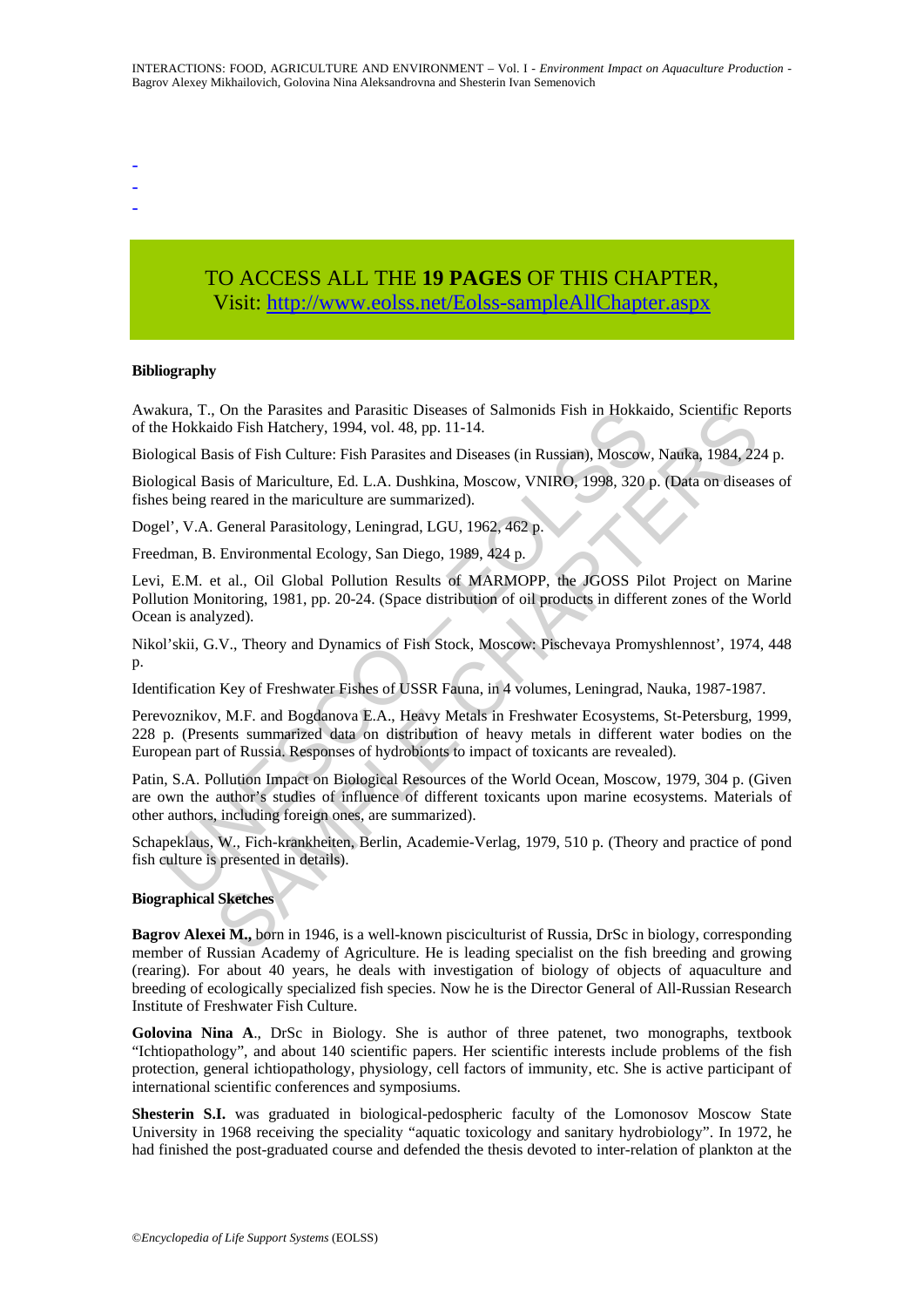- -
- -
- TO ACCESS ALL THE **19 PAGES** OF THIS CHAPTER, Visi[t: http://www.eolss.net/Eolss-sampleAllChapter.aspx](https://www.eolss.net/ebooklib/sc_cart.aspx?File=E4-24-04)

#### **Bibliography**

Awakura, T., On the Parasites and Parasitic Diseases of Salmonids Fish in Hokkaido, Scientific Reports of the Hokkaido Fish Hatchery, 1994, vol. 48, pp. 11-14.

Biological Basis of Fish Culture: Fish Parasites and Diseases (in Russian), Moscow, Nauka, 1984, 224 p.

Biological Basis of Mariculture, Ed. L.A. Dushkina, Moscow, VNIRO, 1998, 320 p. (Data on diseases of fishes being reared in the mariculture are summarized).

Dogel', V.A. General Parasitology, Leningrad, LGU, 1962, 462 p.

Freedman, B. Environmental Ecology, San Diego, 1989, 424 p.

Levi, E.M. et al., Oil Global Pollution Results of MARMOPP, the JGOSS Pilot Project on Marine Pollution Monitoring, 1981, pp. 20-24. (Space distribution of oil products in different zones of the World Ocean is analyzed).

Nikol'skii, G.V., Theory and Dynamics of Fish Stock, Moscow: Pischevaya Promyshlennost', 1974, 448 p.

Identification Key of Freshwater Fishes of USSR Fauna, in 4 volumes, Leningrad, Nauka, 1987-1987.

Perevoznikov, M.F. and Bogdanova E.A., Heavy Metals in Freshwater Ecosystems, St-Petersburg, 1999, 228 p. (Presents summarized data on distribution of heavy metals in different water bodies on the European part of Russia. Responses of hydrobionts to impact of toxicants are revealed).

kura, 1., On the Parasties and Parastic Diseases of Salmonds Fish in Hokka<br>e Hokkaido Fish Hatchery, 1994, vol. 48, pp. 11-14.<br>Bigical Basis of Fish Culture: Fish Parasites and Diseases (in Russian), Moscow<br>poical Basis of On the Parasites and Parasite Diseases of Salmonids Fish in Hokkaido, Scientific Responsible Correlation (Scientific Responsible Chapter States of Fish Culture: Fish Parasites and Diseases (in Russian), Moscow, Natka, 1984 Patin, S.A. Pollution Impact on Biological Resources of the World Ocean, Moscow, 1979, 304 p. (Given are own the author's studies of influence of different toxicants upon marine ecosystems. Materials of other authors, including foreign ones, are summarized).

Schapeklaus, W., Fich-krankheiten, Berlin, Academie-Verlag, 1979, 510 p. (Theory and practice of pond fish culture is presented in details).

#### **Biographical Sketches**

**Bagrov Alexei M.,** born in 1946, is a well-known pisciculturist of Russia, DrSc in biology, corresponding member of Russian Academy of Agriculture. He is leading specialist on the fish breeding and growing (rearing). For about 40 years, he deals with investigation of biology of objects of aquaculture and breeding of ecologically specialized fish species. Now he is the Director General of All-Russian Research Institute of Freshwater Fish Culture.

**Golovina Nina A**., DrSc in Biology. She is author of three patenet, two monographs, textbook "Ichtiopathology", and about 140 scientific papers. Her scientific interests include problems of the fish protection, general ichtiopathology, physiology, cell factors of immunity, etc. She is active participant of international scientific conferences and symposiums.

**Shesterin S.I.** was graduated in biological-pedospheric faculty of the Lomonosov Moscow State University in 1968 receiving the speciality "aquatic toxicology and sanitary hydrobiology". In 1972, he had finished the post-graduated course and defended the thesis devoted to inter-relation of plankton at the